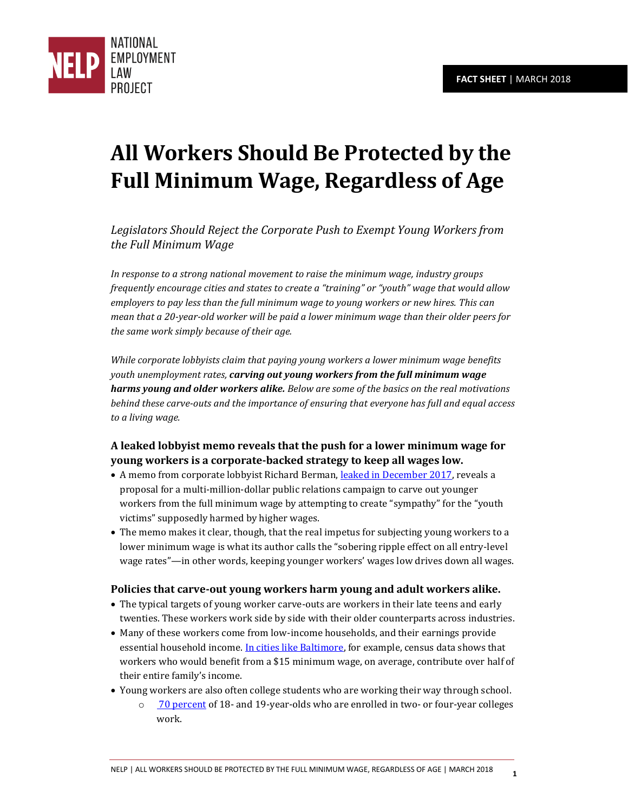

# **All Workers Should Be Protected by the Full Minimum Wage, Regardless of Age**

*Legislators Should Reject the Corporate Push to Exempt Young Workers from the Full Minimum Wage*

*In response to a strong national movement to raise the minimum wage, industry groups frequently encourage cities and states to create a "training" or "youth" wage that would allow employers to pay less than the full minimum wage to young workers or new hires. This can mean that a 20-year-old worker will be paid a lower minimum wage than their older peers for the same work simply because of their age.* 

*While corporate lobbyists claim that paying young workers a lower minimum wage benefits youth unemployment rates, carving out young workers from the full minimum wage harms young and older workers alike. Below are some of the basics on the real motivations behind these carve-outs and the importance of ensuring that everyone has full and equal access to a living wage.* 

# **A leaked lobbyist memo reveals that the push for a lower minimum wage for young workers is a corporate-backed strategy to keep all wages low.**

- A memo from corporate lobbyist Richard Berman, [leaked in December 2017,](https://theintercept.com/2017/12/14/minimum-wage-rick-berman-democrats/) reveals a proposal for a multi-million-dollar public relations campaign to carve out younger workers from the full minimum wage by attempting to create "sympathy" for the "youth victims" supposedly harmed by higher wages.
- The memo makes it clear, though, that the real impetus for subjecting young workers to a lower minimum wage is what its author calls the "sobering ripple effect on all entry-level wage rates"—in other words, keeping younger workers' wages low drives down all wages.

### **Policies that carve-out young workers harm young and adult workers alike.**

- The typical targets of young worker carve-outs are workers in their late teens and early twenties. These workers work side by side with their older counterparts across industries.
- Many of these workers come from low-income households, and their earnings provide essential household income. [In cities like Baltimore,](http://www.epi.org/publication/raising-baltimores-minimum-wage-to-15/) for example, census data shows that workers who would benefit from a \$15 minimum wage, on average, contribute over half of their entire family's income.
- Young workers are also often college students who are working their way through school.
	- o [70 percent](https://cew.georgetown.edu/wp-content/uploads/Working-Learners-Report.pdf) of 18- and 19-year-olds who are enrolled in two- or four-year colleges work.